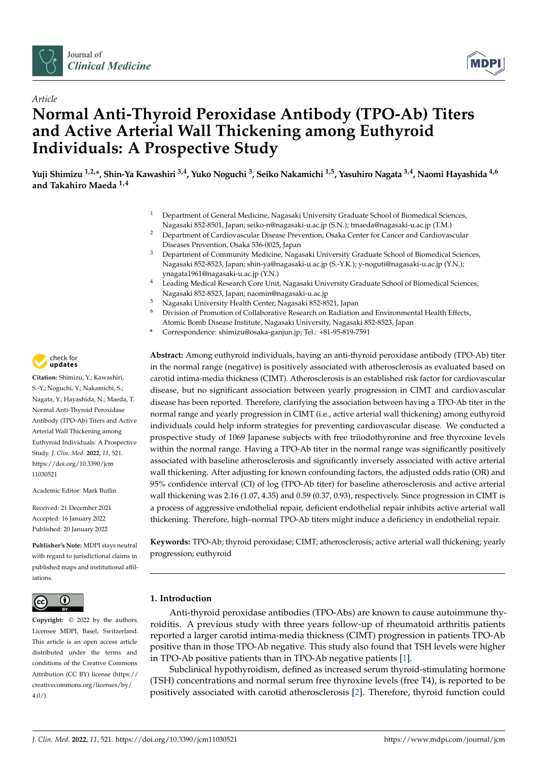



# *Article* **Normal Anti-Thyroid Peroxidase Antibody (TPO-Ab) Titers and Active Arterial Wall Thickening among Euthyroid Individuals: A Prospective Study**

**Yuji Shimizu 1,2,\*, Shin-Ya Kawashiri 3,4, Yuko Noguchi <sup>3</sup> , Seiko Nakamichi 1,5, Yasuhiro Nagata 3,4, Naomi Hayashida 4,6 and Takahiro Maeda 1,4**

- <sup>1</sup> Department of General Medicine, Nagasaki University Graduate School of Biomedical Sciences, Nagasaki 852-8501, Japan; seiko-n@nagasaki-u.ac.jp (S.N.); tmaeda@nagasaki-u.ac.jp (T.M.)
- <sup>2</sup> Department of Cardiovascular Disease Prevention, Osaka Center for Cancer and Cardiovascular Diseases Prevention, Osaka 536-0025, Japan
- <sup>3</sup> Department of Community Medicine, Nagasaki University Graduate School of Biomedical Sciences, Nagasaki 852-8523, Japan; shin-ya@nagasaki-u.ac.jp (S.-Y.K.); y-noguti@nagasaki-u.ac.jp (Y.N.); ynagata1961@nagasaki-u.ac.jp (Y.N.)
- <sup>4</sup> Leading Medical Research Core Unit, Nagasaki University Graduate School of Biomedical Sciences, Nagasaki 852-8523, Japan; naomin@nagasaki-u.ac.jp
- <sup>5</sup> Nagasaki University Health Center, Nagasaki 852-8521, Japan
- <sup>6</sup> Division of Promotion of Collaborative Research on Radiation and Environmental Health Effects, Atomic Bomb Disease Institute, Nagasaki University, Nagasaki 852-8523, Japan
- **\*** Correspondence: shimizu@osaka-ganjun.jp; Tel.: +81-95-819-7591

**Abstract:** Among euthyroid individuals, having an anti-thyroid peroxidase antibody (TPO-Ab) titer in the normal range (negative) is positively associated with atherosclerosis as evaluated based on carotid intima-media thickness (CIMT). Atherosclerosis is an established risk factor for cardiovascular disease, but no significant association between yearly progression in CIMT and cardiovascular disease has been reported. Therefore, clarifying the association between having a TPO-Ab titer in the normal range and yearly progression in CIMT (i.e., active arterial wall thickening) among euthyroid individuals could help inform strategies for preventing cardiovascular disease. We conducted a prospective study of 1069 Japanese subjects with free triiodothyronine and free thyroxine levels within the normal range. Having a TPO-Ab titer in the normal range was significantly positively associated with baseline atherosclerosis and significantly inversely associated with active arterial wall thickening. After adjusting for known confounding factors, the adjusted odds ratio (OR) and 95% confidence interval (CI) of log (TPO-Ab titer) for baseline atherosclerosis and active arterial wall thickening was 2.16 (1.07, 4.35) and 0.59 (0.37, 0.93), respectively. Since progression in CIMT is a process of aggressive endothelial repair, deficient endothelial repair inhibits active arterial wall thickening. Therefore, high–normal TPO-Ab titers might induce a deficiency in endothelial repair.

**Keywords:** TPO-Ab; thyroid peroxidase; CIMT; atherosclerosis; active arterial wall thickening; yearly progression; euthyroid

## **1. Introduction**

Anti-thyroid peroxidase antibodies (TPO-Abs) are known to cause autoimmune thyroiditis. A previous study with three years follow-up of rheumatoid arthritis patients reported a larger carotid intima-media thickness (CIMT) progression in patients TPO-Ab positive than in those TPO-Ab negative. This study also found that TSH levels were higher in TPO-Ab positive patients than in TPO-Ab negative patients [\[1\]](#page-7-0).

Subclinical hypothyroidism, defined as increased serum thyroid-stimulating hormone (TSH) concentrations and normal serum free thyroxine levels (free T4), is reported to be positively associated with carotid atherosclerosis [\[2\]](#page-7-1). Therefore, thyroid function could



**Citation:** Shimizu, Y.; Kawashiri, S.-Y.; Noguchi, Y.; Nakamichi, S.; Nagata, Y.; Hayashida, N.; Maeda, T. Normal Anti-Thyroid Peroxidase Antibody (TPO-Ab) Titers and Active Arterial Wall Thickening among Euthyroid Individuals: A Prospective Study. *J. Clin. Med.* **2022**, *11*, 521. [https://doi.org/10.3390/jcm](https://doi.org/10.3390/jcm11030521) [11030521](https://doi.org/10.3390/jcm11030521)

Academic Editor: Mark Butlin

Received: 21 December 2021 Accepted: 16 January 2022 Published: 20 January 2022

**Publisher's Note:** MDPI stays neutral with regard to jurisdictional claims in published maps and institutional affiliations.



**Copyright:** © 2022 by the authors. Licensee MDPI, Basel, Switzerland. This article is an open access article distributed under the terms and conditions of the Creative Commons Attribution (CC BY) license [\(https://](https://creativecommons.org/licenses/by/4.0/) [creativecommons.org/licenses/by/](https://creativecommons.org/licenses/by/4.0/)  $4.0/$ ).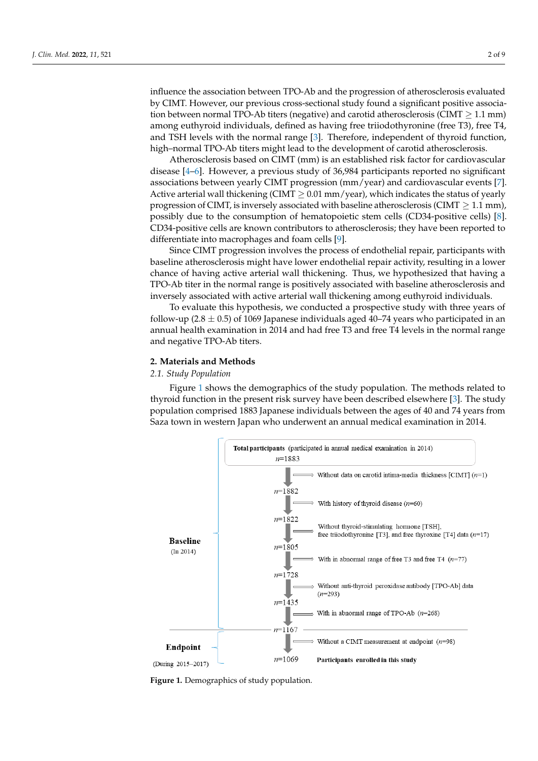influence the association between TPO-Ab and the progression of atherosclerosis evaluated by CIMT. However, our previous cross-sectional study found a significant positive association between normal TPO-Ab titers (negative) and carotid atherosclerosis (CIMT  $\geq$  1.1 mm) among euthyroid individuals, defined as having free triiodothyronine (free T3), free T4, and TSH levels with the normal range [\[3\]](#page-7-2). Therefore, independent of thyroid function, high–normal TPO-Ab titers might lead to the development of carotid atherosclerosis.

Atherosclerosis based on CIMT (mm) is an established risk factor for cardiovascular disease [\[4](#page-7-3)[–6\]](#page-7-4). However, a previous study of 36,984 participants reported no significant associations between yearly CIMT progression (mm/year) and cardiovascular events [\[7\]](#page-7-5). Active arterial wall thickening (CIMT  $\geq$  0.01 mm/year), which indicates the status of yearly progression of CIMT, is inversely associated with baseline atherosclerosis (CIMT  $\geq 1.1$  mm), possibly due to the consumption of hematopoietic stem cells (CD34-positive cells) [\[8\]](#page-7-6). CD34-positive cells are known contributors to atherosclerosis; they have been reported to differentiate into macrophages and foam cells [\[9\]](#page-7-7).

Since CIMT progression involves the process of endothelial repair, participants with baseline atherosclerosis might have lower endothelial repair activity, resulting in a lower chance of having active arterial wall thickening. Thus, we hypothesized that having a TPO-Ab titer in the normal range is positively associated with baseline atherosclerosis and inversely associated with active arterial wall thickening among euthyroid individuals.

To evaluate this hypothesis, we conducted a prospective study with three years of follow-up  $(2.8 \pm 0.5)$  of 1069 Japanese individuals aged 40–74 years who participated in an annual health examination in 2014 and had free T3 and free T4 levels in the normal range and negative TPO-Ab titers.

#### **2. Materials and Methods**

## *2.1. Study Population*

Figure 1 shows the demographics of the study population. The methods related to thyroid function in the present risk survey have been described elsewhere [\[3\]](#page-7-2). The study population comprised 1883 Japanese individuals between the ages of 40 and 74 years from Saza town in western Japan who underwent an annual medical examination in 2014.

<span id="page-1-0"></span>

**Figure 1.** Demographics of study population.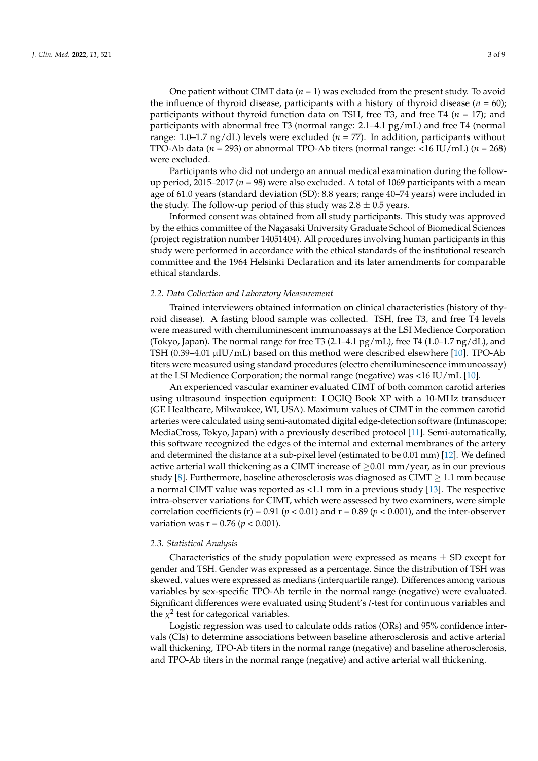One patient without CIMT data (*n* = 1) was excluded from the present study. To avoid the influence of thyroid disease, participants with a history of thyroid disease  $(n = 60)$ ; participants without thyroid function data on TSH, free T3, and free T4 (*n* = 17); and participants with abnormal free T3 (normal range: 2.1–4.1 pg/mL) and free T4 (normal range:  $1.0-1.7$  ng/dL) levels were excluded ( $n = 77$ ). In addition, participants without TPO-Ab data (*n* = 293) or abnormal TPO-Ab titers (normal range: <16 IU/mL) (*n* = 268) were excluded.

Participants who did not undergo an annual medical examination during the followup period, 2015–2017 (*n* = 98) were also excluded. A total of 1069 participants with a mean age of 61.0 years (standard deviation (SD): 8.8 years; range 40–74 years) were included in the study. The follow-up period of this study was  $2.8 \pm 0.5$  years.

Informed consent was obtained from all study participants. This study was approved by the ethics committee of the Nagasaki University Graduate School of Biomedical Sciences (project registration number 14051404). All procedures involving human participants in this study were performed in accordance with the ethical standards of the institutional research committee and the 1964 Helsinki Declaration and its later amendments for comparable ethical standards.

## *2.2. Data Collection and Laboratory Measurement*

Trained interviewers obtained information on clinical characteristics (history of thyroid disease). A fasting blood sample was collected. TSH, free T3, and free T4 levels were measured with chemiluminescent immunoassays at the LSI Medience Corporation (Tokyo, Japan). The normal range for free T3  $(2.1-4.1 \text{ pg/mL})$ , free T4  $(1.0-1.7 \text{ ng/dL})$ , and TSH (0.39–4.01 µIU/mL) based on this method were described elsewhere [\[10\]](#page-7-8). TPO-Ab titers were measured using standard procedures (electro chemiluminescence immunoassay) at the LSI Medience Corporation; the normal range (negative) was <16 IU/mL [\[10\]](#page-7-8).

An experienced vascular examiner evaluated CIMT of both common carotid arteries using ultrasound inspection equipment: LOGIQ Book XP with a 10-MHz transducer (GE Healthcare, Milwaukee, WI, USA). Maximum values of CIMT in the common carotid arteries were calculated using semi-automated digital edge-detection software (Intimascope; MediaCross, Tokyo, Japan) with a previously described protocol [\[11\]](#page-7-9). Semi-automatically, this software recognized the edges of the internal and external membranes of the artery and determined the distance at a sub-pixel level (estimated to be 0.01 mm) [\[12\]](#page-7-10). We defined active arterial wall thickening as a CIMT increase of  $\geq 0.01$  mm/year, as in our previous study [\[8\]](#page-7-6). Furthermore, baseline atherosclerosis was diagnosed as CIMT  $\geq 1.1$  mm because a normal CIMT value was reported as <1.1 mm in a previous study [\[13\]](#page-7-11). The respective intra-observer variations for CIMT, which were assessed by two examiners, were simple correlation coefficients (r) = 0.91 ( $p < 0.01$ ) and  $r = 0.89$  ( $p < 0.001$ ), and the inter-observer variation was  $r = 0.76$  ( $p < 0.001$ ).

#### *2.3. Statistical Analysis*

Characteristics of the study population were expressed as means  $\pm$  SD except for gender and TSH. Gender was expressed as a percentage. Since the distribution of TSH was skewed, values were expressed as medians (interquartile range). Differences among various variables by sex-specific TPO-Ab tertile in the normal range (negative) were evaluated. Significant differences were evaluated using Student's *t*-test for continuous variables and the  $\chi^2$  test for categorical variables.

Logistic regression was used to calculate odds ratios (ORs) and 95% confidence intervals (CIs) to determine associations between baseline atherosclerosis and active arterial wall thickening, TPO-Ab titers in the normal range (negative) and baseline atherosclerosis, and TPO-Ab titers in the normal range (negative) and active arterial wall thickening.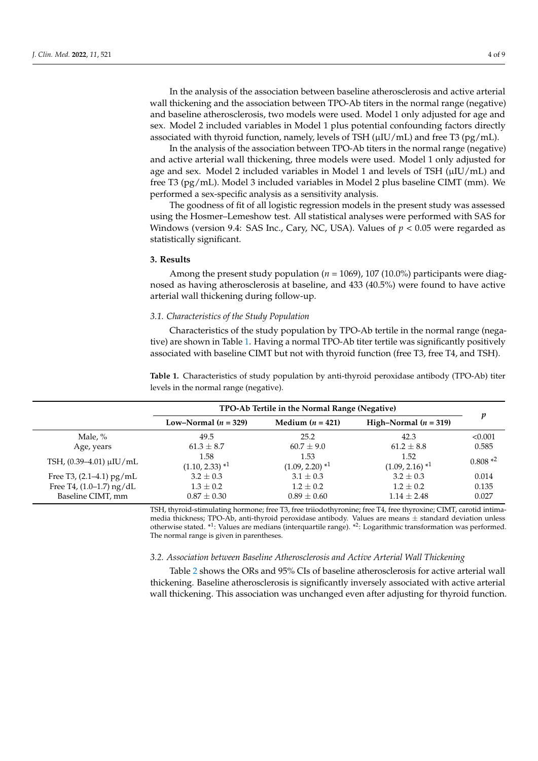In the analysis of the association between baseline atherosclerosis and active arterial wall thickening and the association between TPO-Ab titers in the normal range (negative) and baseline atherosclerosis, two models were used. Model 1 only adjusted for age and sex. Model 2 included variables in Model 1 plus potential confounding factors directly associated with thyroid function, namely, levels of TSH ( $\mu$ IU/mL) and free T3 (pg/mL).

In the analysis of the association between TPO-Ab titers in the normal range (negative) and active arterial wall thickening, three models were used. Model 1 only adjusted for age and sex. Model 2 included variables in Model 1 and levels of TSH (µIU/mL) and free T3 (pg/mL). Model 3 included variables in Model 2 plus baseline CIMT (mm). We performed a sex-specific analysis as a sensitivity analysis.

The goodness of fit of all logistic regression models in the present study was assessed using the Hosmer–Lemeshow test. All statistical analyses were performed with SAS for Windows (version 9.4: SAS Inc., Cary, NC, USA). Values of *p* < 0.05 were regarded as statistically significant.

#### **3. Results**

Among the present study population (*n* = 1069), 107 (10.0%) participants were diagnosed as having atherosclerosis at baseline, and 433 (40.5%) were found to have active arterial wall thickening during follow-up.

## *3.1. Characteristics of the Study Population*

Characteristics of the study population by TPO-Ab tertile in the normal range (negative) are shown in Table [1.](#page-3-0) Having a normal TPO-Ab titer tertile was significantly positively associated with baseline CIMT but not with thyroid function (free T3, free T4, and TSH).

<span id="page-3-0"></span>**Table 1.** Characteristics of study population by anti-thyroid peroxidase antibody (TPO-Ab) titer levels in the normal range (negative).

|                                                 | TPO-Ab Tertile in the Normal Range (Negative) |                                      |                                      |                |  |
|-------------------------------------------------|-----------------------------------------------|--------------------------------------|--------------------------------------|----------------|--|
|                                                 | Low-Normal $(n = 329)$                        | Medium $(n = 421)$                   | High-Normal $(n = 319)$              | p              |  |
| Male, %                                         | 49.5<br>25.2                                  |                                      | 42.3                                 | < 0.001        |  |
| Age, years                                      | $61.3 \pm 8.7$                                | $60.7 \pm 9.0$                       | $61.2 \pm 8.8$                       | 0.585          |  |
| TSH, $(0.39-4.01)$ µIU/mL                       | 1.58<br>$(1.10, 2.33)$ <sup>*1</sup>          | 1.53<br>$(1.09, 2.20)$ <sup>*1</sup> | 1.52<br>$(1.09, 2.16)$ <sup>*1</sup> | $0.808*^2$     |  |
| Free T3, $(2.1-4.1)$ pg/mL                      | $3.2 \pm 0.3$                                 | $3.1 \pm 0.3$                        | $3.2 \pm 0.3$                        | 0.014          |  |
| Free T4, $(1.0-1.7)$ ng/dL<br>Baseline CIMT, mm | $1.3 \pm 0.2$<br>$0.87 \pm 0.30$              | $1.2 \pm 0.2$<br>$0.89 \pm 0.60$     | $1.2 \pm 0.2$<br>$1.14 \pm 2.48$     | 0.135<br>0.027 |  |

TSH, thyroid-stimulating hormone; free T3, free triiodothyronine; free T4, free thyroxine; CIMT, carotid intimamedia thickness; TPO-Ab, anti-thyroid peroxidase antibody. Values are means ± standard deviation unless otherwise stated. <sup>\*1</sup>: Values are medians (interquartile range). <sup>\*2</sup>: Logarithmic transformation was performed. The normal range is given in parentheses.

#### *3.2. Association between Baseline Atherosclerosis and Active Arterial Wall Thickening*

Table [2](#page-4-0) shows the ORs and 95% CIs of baseline atherosclerosis for active arterial wall thickening. Baseline atherosclerosis is significantly inversely associated with active arterial wall thickening. This association was unchanged even after adjusting for thyroid function.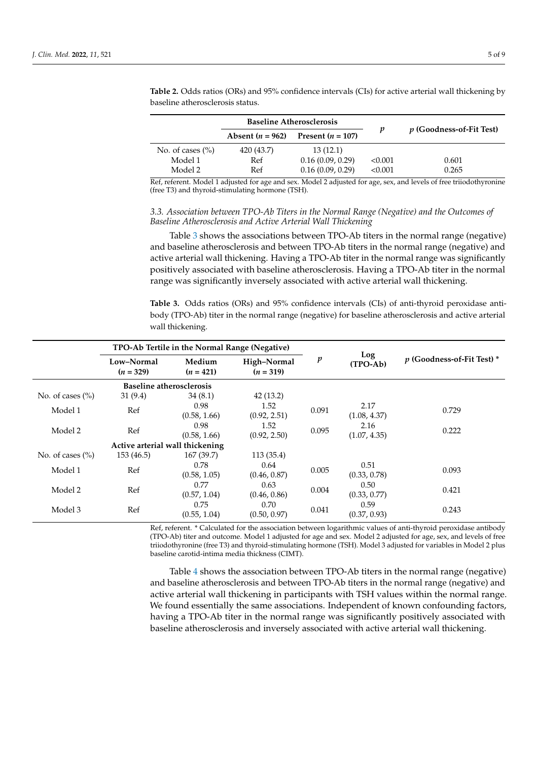|                      | <b>Baseline Atherosclerosis</b> |                     |         |                          |  |
|----------------------|---------------------------------|---------------------|---------|--------------------------|--|
|                      | Absent $(n = 962)$              | Present $(n = 107)$ | p       | p (Goodness-of-Fit Test) |  |
| No. of cases $(\% )$ | 420 (43.7)                      | 13(12.1)            |         |                          |  |
| Model 1              | Ref                             | 0.16(0.09, 0.29)    | < 0.001 | 0.601                    |  |
| Model 2              | Ref                             | 0.16(0.09, 0.29)    | < 0.001 | 0.265                    |  |

<span id="page-4-0"></span>**Table 2.** Odds ratios (ORs) and 95% confidence intervals (CIs) for active arterial wall thickening by baseline atherosclerosis status.

Ref, referent. Model 1 adjusted for age and sex. Model 2 adjusted for age, sex, and levels of free triiodothyronine (free T3) and thyroid-stimulating hormone (TSH).

## *3.3. Association between TPO-Ab Titers in the Normal Range (Negative) and the Outcomes of Baseline Atherosclerosis and Active Arterial Wall Thickening*

Table [3](#page-4-1) shows the associations between TPO-Ab titers in the normal range (negative) and baseline atherosclerosis and between TPO-Ab titers in the normal range (negative) and active arterial wall thickening. Having a TPO-Ab titer in the normal range was significantly positively associated with baseline atherosclerosis. Having a TPO-Ab titer in the normal range was significantly inversely associated with active arterial wall thickening.

<span id="page-4-1"></span>**Table 3.** Odds ratios (ORs) and 95% confidence intervals (CIs) of anti-thyroid peroxidase antibody (TPO-Ab) titer in the normal range (negative) for baseline atherosclerosis and active arterial wall thickening.

|                      | TPO-Ab Tertile in the Normal Range (Negative) |                       |                            |                  |                      |                            |
|----------------------|-----------------------------------------------|-----------------------|----------------------------|------------------|----------------------|----------------------------|
|                      | Low-Normal<br>$(n = 329)$                     | Medium<br>$(n = 421)$ | High-Normal<br>$(n = 319)$ | $\boldsymbol{p}$ | Log<br>(TPO-Ab)      | p (Goodness-of-Fit Test) * |
|                      | <b>Baseline atherosclerosis</b>               |                       |                            |                  |                      |                            |
| No. of cases $(\% )$ | 31(9.4)                                       | 34(8.1)               | 42(13.2)                   |                  |                      |                            |
| Model 1              | Ref                                           | 0.98<br>(0.58, 1.66)  | 1.52<br>(0.92, 2.51)       | 0.091            | 2.17<br>(1.08, 4.37) | 0.729                      |
| Model 2              | Ref                                           | 0.98<br>(0.58, 1.66)  | 1.52<br>(0.92, 2.50)       | 0.095            | 2.16<br>(1.07, 4.35) | 0.222                      |
|                      | Active arterial wall thickening               |                       |                            |                  |                      |                            |
| No. of cases $(\% )$ | 153 (46.5)                                    | 167(39.7)             | 113(35.4)                  |                  |                      |                            |
| Model 1              | Ref                                           | 0.78<br>(0.58, 1.05)  | 0.64<br>(0.46, 0.87)       | 0.005            | 0.51<br>(0.33, 0.78) | 0.093                      |
| Model 2              | Ref                                           | 0.77<br>(0.57, 1.04)  | 0.63<br>(0.46, 0.86)       | 0.004            | 0.50<br>(0.33, 0.77) | 0.421                      |
| Model 3              | Ref                                           | 0.75<br>(0.55, 1.04)  | 0.70<br>(0.50, 0.97)       | 0.041            | 0.59<br>(0.37, 0.93) | 0.243                      |

Ref, referent. \* Calculated for the association between logarithmic values of anti-thyroid peroxidase antibody (TPO-Ab) titer and outcome. Model 1 adjusted for age and sex. Model 2 adjusted for age, sex, and levels of free triiodothyronine (free T3) and thyroid-stimulating hormone (TSH). Model 3 adjusted for variables in Model 2 plus baseline carotid-intima media thickness (CIMT).

Table [4](#page-5-0) shows the association between TPO-Ab titers in the normal range (negative) and baseline atherosclerosis and between TPO-Ab titers in the normal range (negative) and active arterial wall thickening in participants with TSH values within the normal range. We found essentially the same associations. Independent of known confounding factors, having a TPO-Ab titer in the normal range was significantly positively associated with baseline atherosclerosis and inversely associated with active arterial wall thickening.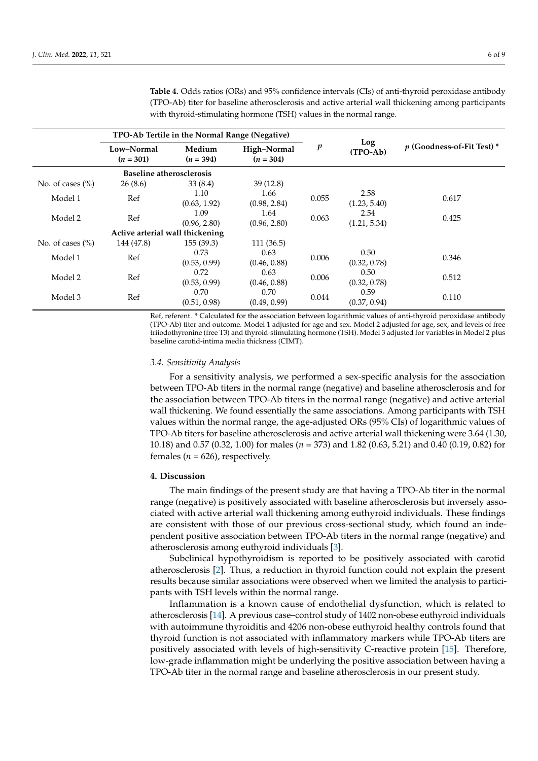|                      | TPO-Ab Tertile in the Normal Range (Negative) |                       |                            |       |                      |                            |
|----------------------|-----------------------------------------------|-----------------------|----------------------------|-------|----------------------|----------------------------|
|                      | Low–Normal<br>$(n = 301)$                     | Medium<br>$(n = 394)$ | High-Normal<br>$(n = 304)$ | p     | Log<br>(TPO-Ab)      | p (Goodness-of-Fit Test) * |
|                      | <b>Baseline atherosclerosis</b>               |                       |                            |       |                      |                            |
| No. of cases $(\% )$ | 26(8.6)                                       | 33(8.4)               | 39(12.8)                   |       |                      |                            |
| Model 1              | Ref                                           | 1.10<br>(0.63, 1.92)  | 1.66<br>(0.98, 2.84)       | 0.055 | 2.58<br>(1.23, 5.40) | 0.617                      |
| Model 2              | Ref                                           | 1.09<br>(0.96, 2.80)  | 1.64<br>(0.96, 2.80)       | 0.063 | 2.54<br>(1.21, 5.34) | 0.425                      |
|                      | Active arterial wall thickening               |                       |                            |       |                      |                            |
| No. of cases $(\% )$ | 144 (47.8)                                    | 155(39.3)             | 111(36.5)                  |       |                      |                            |
| Model 1              | Ref                                           | 0.73<br>(0.53, 0.99)  | 0.63<br>(0.46, 0.88)       | 0.006 | 0.50<br>(0.32, 0.78) | 0.346                      |
| Model 2              | Ref                                           | 0.72<br>(0.53, 0.99)  | 0.63<br>(0.46, 0.88)       | 0.006 | 0.50<br>(0.32, 0.78) | 0.512                      |
| Model 3              | Ref                                           | 0.70<br>(0.51, 0.98)  | 0.70<br>(0.49, 0.99)       | 0.044 | 0.59<br>(0.37, 0.94) | 0.110                      |

<span id="page-5-0"></span>**Table 4.** Odds ratios (ORs) and 95% confidence intervals (CIs) of anti-thyroid peroxidase antibody (TPO-Ab) titer for baseline atherosclerosis and active arterial wall thickening among participants with thyroid-stimulating hormone (TSH) values in the normal range.

Ref, referent. \* Calculated for the association between logarithmic values of anti-thyroid peroxidase antibody (TPO-Ab) titer and outcome. Model 1 adjusted for age and sex. Model 2 adjusted for age, sex, and levels of free triiodothyronine (free T3) and thyroid-stimulating hormone (TSH). Model 3 adjusted for variables in Model 2 plus baseline carotid-intima media thickness (CIMT).

#### *3.4. Sensitivity Analysis*

For a sensitivity analysis, we performed a sex-specific analysis for the association between TPO-Ab titers in the normal range (negative) and baseline atherosclerosis and for the association between TPO-Ab titers in the normal range (negative) and active arterial wall thickening. We found essentially the same associations. Among participants with TSH values within the normal range, the age-adjusted ORs (95% CIs) of logarithmic values of TPO-Ab titers for baseline atherosclerosis and active arterial wall thickening were 3.64 (1.30, 10.18) and 0.57 (0.32, 1.00) for males (*n* = 373) and 1.82 (0.63, 5.21) and 0.40 (0.19, 0.82) for females ( $n = 626$ ), respectively.

#### **4. Discussion**

The main findings of the present study are that having a TPO-Ab titer in the normal range (negative) is positively associated with baseline atherosclerosis but inversely associated with active arterial wall thickening among euthyroid individuals. These findings are consistent with those of our previous cross-sectional study, which found an independent positive association between TPO-Ab titers in the normal range (negative) and atherosclerosis among euthyroid individuals [\[3\]](#page-7-2).

Subclinical hypothyroidism is reported to be positively associated with carotid atherosclerosis [\[2\]](#page-7-1). Thus, a reduction in thyroid function could not explain the present results because similar associations were observed when we limited the analysis to participants with TSH levels within the normal range.

Inflammation is a known cause of endothelial dysfunction, which is related to atherosclerosis [\[14\]](#page-7-12). A previous case–control study of 1402 non-obese euthyroid individuals with autoimmune thyroiditis and 4206 non-obese euthyroid healthy controls found that thyroid function is not associated with inflammatory markers while TPO-Ab titers are positively associated with levels of high-sensitivity C-reactive protein [\[15\]](#page-7-13). Therefore, low-grade inflammation might be underlying the positive association between having a TPO-Ab titer in the normal range and baseline atherosclerosis in our present study.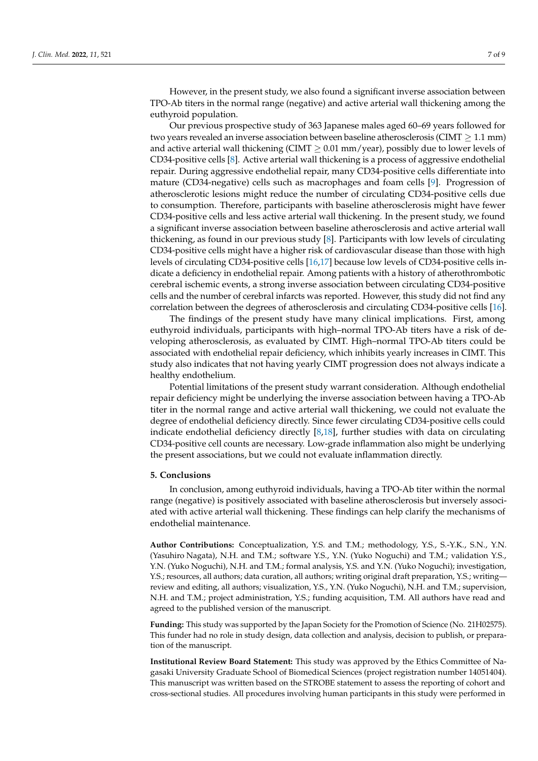However, in the present study, we also found a significant inverse association between TPO-Ab titers in the normal range (negative) and active arterial wall thickening among the euthyroid population.

Our previous prospective study of 363 Japanese males aged 60–69 years followed for two years revealed an inverse association between baseline atherosclerosis (CIMT  $\geq 1.1$  mm) and active arterial wall thickening (CIMT  $\geq$  0.01 mm/year), possibly due to lower levels of CD34-positive cells [\[8\]](#page-7-6). Active arterial wall thickening is a process of aggressive endothelial repair. During aggressive endothelial repair, many CD34-positive cells differentiate into mature (CD34-negative) cells such as macrophages and foam cells [\[9\]](#page-7-7). Progression of atherosclerotic lesions might reduce the number of circulating CD34-positive cells due to consumption. Therefore, participants with baseline atherosclerosis might have fewer CD34-positive cells and less active arterial wall thickening. In the present study, we found a significant inverse association between baseline atherosclerosis and active arterial wall thickening, as found in our previous study [\[8\]](#page-7-6). Participants with low levels of circulating CD34-positive cells might have a higher risk of cardiovascular disease than those with high levels of circulating CD34-positive cells [\[16](#page-8-0)[,17\]](#page-8-1) because low levels of CD34-positive cells indicate a deficiency in endothelial repair. Among patients with a history of atherothrombotic cerebral ischemic events, a strong inverse association between circulating CD34-positive cells and the number of cerebral infarcts was reported. However, this study did not find any correlation between the degrees of atherosclerosis and circulating CD34-positive cells [\[16\]](#page-8-0).

The findings of the present study have many clinical implications. First, among euthyroid individuals, participants with high–normal TPO-Ab titers have a risk of developing atherosclerosis, as evaluated by CIMT. High–normal TPO-Ab titers could be associated with endothelial repair deficiency, which inhibits yearly increases in CIMT. This study also indicates that not having yearly CIMT progression does not always indicate a healthy endothelium.

Potential limitations of the present study warrant consideration. Although endothelial repair deficiency might be underlying the inverse association between having a TPO-Ab titer in the normal range and active arterial wall thickening, we could not evaluate the degree of endothelial deficiency directly. Since fewer circulating CD34-positive cells could indicate endothelial deficiency directly [\[8,](#page-7-6)[18\]](#page-8-2), further studies with data on circulating CD34-positive cell counts are necessary. Low-grade inflammation also might be underlying the present associations, but we could not evaluate inflammation directly.

#### **5. Conclusions**

In conclusion, among euthyroid individuals, having a TPO-Ab titer within the normal range (negative) is positively associated with baseline atherosclerosis but inversely associated with active arterial wall thickening. These findings can help clarify the mechanisms of endothelial maintenance.

**Author Contributions:** Conceptualization, Y.S. and T.M.; methodology, Y.S., S.-Y.K., S.N., Y.N. (Yasuhiro Nagata), N.H. and T.M.; software Y.S., Y.N. (Yuko Noguchi) and T.M.; validation Y.S., Y.N. (Yuko Noguchi), N.H. and T.M.; formal analysis, Y.S. and Y.N. (Yuko Noguchi); investigation, Y.S.; resources, all authors; data curation, all authors; writing original draft preparation, Y.S.; writing review and editing, all authors; visualization, Y.S., Y.N. (Yuko Noguchi), N.H. and T.M.; supervision, N.H. and T.M.; project administration, Y.S.; funding acquisition, T.M. All authors have read and agreed to the published version of the manuscript.

**Funding:** This study was supported by the Japan Society for the Promotion of Science (No. 21H02575). This funder had no role in study design, data collection and analysis, decision to publish, or preparation of the manuscript.

**Institutional Review Board Statement:** This study was approved by the Ethics Committee of Nagasaki University Graduate School of Biomedical Sciences (project registration number 14051404). This manuscript was written based on the STROBE statement to assess the reporting of cohort and cross-sectional studies. All procedures involving human participants in this study were performed in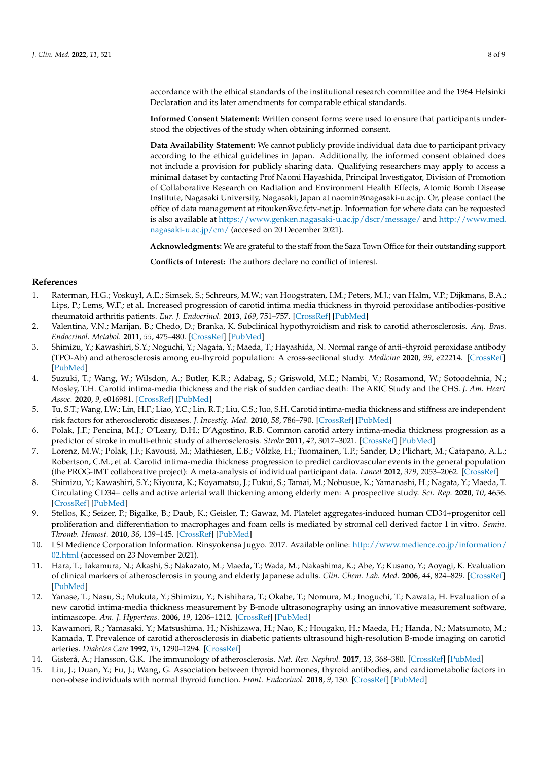accordance with the ethical standards of the institutional research committee and the 1964 Helsinki Declaration and its later amendments for comparable ethical standards.

**Informed Consent Statement:** Written consent forms were used to ensure that participants understood the objectives of the study when obtaining informed consent.

**Data Availability Statement:** We cannot publicly provide individual data due to participant privacy according to the ethical guidelines in Japan. Additionally, the informed consent obtained does not include a provision for publicly sharing data. Qualifying researchers may apply to access a minimal dataset by contacting Prof Naomi Hayashida, Principal Investigator, Division of Promotion of Collaborative Research on Radiation and Environment Health Effects, Atomic Bomb Disease Institute, Nagasaki University, Nagasaki, Japan at naomin@nagasaki-u.ac.jp. Or, please contact the office of data management at ritouken@vc.fctv-net.jp. Information for where data can be requested is also available at <https://www.genken.nagasaki-u.ac.jp/dscr/message/> and [http://www.med.](http://www.med.nagasaki-u.ac.jp/cm/) [nagasaki-u.ac.jp/cm/](http://www.med.nagasaki-u.ac.jp/cm/) (accesed on 20 December 2021).

**Acknowledgments:** We are grateful to the staff from the Saza Town Office for their outstanding support.

**Conflicts of Interest:** The authors declare no conflict of interest.

## **References**

- <span id="page-7-0"></span>1. Raterman, H.G.; Voskuyl, A.E.; Simsek, S.; Schreurs, M.W.; van Hoogstraten, I.M.; Peters, M.J.; van Halm, V.P.; Dijkmans, B.A.; Lips, P.; Lems, W.F.; et al. Increased progression of carotid intima media thickness in thyroid peroxidase antibodies-positive rheumatoid arthritis patients. *Eur. J. Endocrinol.* **2013**, *169*, 751–757. [\[CrossRef\]](http://doi.org/10.1530/EJE-13-0394) [\[PubMed\]](http://www.ncbi.nlm.nih.gov/pubmed/24005313)
- <span id="page-7-1"></span>2. Valentina, V.N.; Marijan, B.; Chedo, D.; Branka, K. Subclinical hypothyroidism and risk to carotid atherosclerosis. *Arq. Bras. Endocrinol. Metabol.* **2011**, *55*, 475–480. [\[CrossRef\]](http://doi.org/10.1590/S0004-27302011000700007) [\[PubMed\]](http://www.ncbi.nlm.nih.gov/pubmed/22147096)
- <span id="page-7-2"></span>3. Shimizu, Y.; Kawashiri, S.Y.; Noguchi, Y.; Nagata, Y.; Maeda, T.; Hayashida, N. Normal range of anti–thyroid peroxidase antibody (TPO-Ab) and atherosclerosis among eu-thyroid population: A cross-sectional study. *Medicine* **2020**, *99*, e22214. [\[CrossRef\]](http://doi.org/10.1097/MD.0000000000022214) [\[PubMed\]](http://www.ncbi.nlm.nih.gov/pubmed/32957357)
- <span id="page-7-3"></span>4. Suzuki, T.; Wang, W.; Wilsdon, A.; Butler, K.R.; Adabag, S.; Griswold, M.E.; Nambi, V.; Rosamond, W.; Sotoodehnia, N.; Mosley, T.H. Carotid intima-media thickness and the risk of sudden cardiac death: The ARIC Study and the CHS. *J. Am. Heart Assoc.* **2020**, *9*, e016981. [\[CrossRef\]](http://doi.org/10.1161/JAHA.120.016981) [\[PubMed\]](http://www.ncbi.nlm.nih.gov/pubmed/32975158)
- 5. Tu, S.T.; Wang, I.W.; Lin, H.F.; Liao, Y.C.; Lin, R.T.; Liu, C.S.; Juo, S.H. Carotid intima-media thickness and stiffness are independent risk factors for atherosclerotic diseases. *J. Investig. Med.* **2010**, *58*, 786–790. [\[CrossRef\]](http://doi.org/10.2310/JIM.0b013e3181e8019d) [\[PubMed\]](http://www.ncbi.nlm.nih.gov/pubmed/20571440)
- <span id="page-7-4"></span>6. Polak, J.F.; Pencina, M.J.; O'Leary, D.H.; D'Agostino, R.B. Common carotid artery intima-media thickness progression as a predictor of stroke in multi-ethnic study of atherosclerosis. *Stroke* **2011**, *42*, 3017–3021. [\[CrossRef\]](http://doi.org/10.1161/STROKEAHA.111.625186) [\[PubMed\]](http://www.ncbi.nlm.nih.gov/pubmed/21885840)
- <span id="page-7-5"></span>7. Lorenz, M.W.; Polak, J.F.; Kavousi, M.; Mathiesen, E.B.; Völzke, H.; Tuomainen, T.P.; Sander, D.; Plichart, M.; Catapano, A.L.; Robertson, C.M.; et al. Carotid intima-media thickness progression to predict cardiovascular events in the general population (the PROG-IMT collaborative project): A meta-analysis of individual participant data. *Lancet* **2012**, *379*, 2053–2062. [\[CrossRef\]](http://doi.org/10.1016/S0140-6736(12)60441-3)
- <span id="page-7-6"></span>8. Shimizu, Y.; Kawashiri, S.Y.; Kiyoura, K.; Koyamatsu, J.; Fukui, S.; Tamai, M.; Nobusue, K.; Yamanashi, H.; Nagata, Y.; Maeda, T. Circulating CD34+ cells and active arterial wall thickening among elderly men: A prospective study. *Sci. Rep.* **2020**, *10*, 4656. [\[CrossRef\]](http://doi.org/10.1038/s41598-020-61475-4) [\[PubMed\]](http://www.ncbi.nlm.nih.gov/pubmed/32170211)
- <span id="page-7-7"></span>9. Stellos, K.; Seizer, P.; Bigalke, B.; Daub, K.; Geisler, T.; Gawaz, M. Platelet aggregates-induced human CD34+progenitor cell proliferation and differentiation to macrophages and foam cells is mediated by stromal cell derived factor 1 in vitro. *Semin. Thromb. Hemost.* **2010**, *36*, 139–145. [\[CrossRef\]](http://doi.org/10.1055/s-0030-1251497) [\[PubMed\]](http://www.ncbi.nlm.nih.gov/pubmed/20414828)
- <span id="page-7-8"></span>10. LSI Medience Corporation Information. Rinsyokensa Jugyo. 2017. Available online: [http://www.medience.co.jp/information/](http://www.medience.co.jp/information/02.html) [02.html](http://www.medience.co.jp/information/02.html) (accessed on 23 November 2021).
- <span id="page-7-9"></span>11. Hara, T.; Takamura, N.; Akashi, S.; Nakazato, M.; Maeda, T.; Wada, M.; Nakashima, K.; Abe, Y.; Kusano, Y.; Aoyagi, K. Evaluation of clinical markers of atherosclerosis in young and elderly Japanese adults. *Clin. Chem. Lab. Med.* **2006**, *44*, 824–829. [\[CrossRef\]](http://doi.org/10.1515/CCLM.2006.149) [\[PubMed\]](http://www.ncbi.nlm.nih.gov/pubmed/16776627)
- <span id="page-7-10"></span>12. Yanase, T.; Nasu, S.; Mukuta, Y.; Shimizu, Y.; Nishihara, T.; Okabe, T.; Nomura, M.; Inoguchi, T.; Nawata, H. Evaluation of a new carotid intima-media thickness measurement by B-mode ultrasonography using an innovative measurement software, intimascope. *Am. J. Hypertens.* **2006**, *19*, 1206–1212. [\[CrossRef\]](http://doi.org/10.1016/j.amjhyper.2006.05.010) [\[PubMed\]](http://www.ncbi.nlm.nih.gov/pubmed/17161764)
- <span id="page-7-11"></span>13. Kawamori, R.; Yamasaki, Y.; Matsushima, H.; Nishizawa, H.; Nao, K.; Hougaku, H.; Maeda, H.; Handa, N.; Matsumoto, M.; Kamada, T. Prevalence of carotid atherosclerosis in diabetic patients ultrasound high-resolution B-mode imaging on carotid arteries. *Diabetes Care* **1992**, *15*, 1290–1294. [\[CrossRef\]](http://doi.org/10.2337/diacare.15.10.1290)
- <span id="page-7-12"></span>14. Gisterå, A.; Hansson, G.K. The immunology of atherosclerosis. *Nat. Rev. Nephrol.* **2017**, *13*, 368–380. [\[CrossRef\]](http://doi.org/10.1038/nrneph.2017.51) [\[PubMed\]](http://www.ncbi.nlm.nih.gov/pubmed/28392564)
- <span id="page-7-13"></span>15. Liu, J.; Duan, Y.; Fu, J.; Wang, G. Association between thyroid hormones, thyroid antibodies, and cardiometabolic factors in non-obese individuals with normal thyroid function. *Front. Endocrinol.* **2018**, *9*, 130. [\[CrossRef\]](http://doi.org/10.3389/fendo.2018.00130) [\[PubMed\]](http://www.ncbi.nlm.nih.gov/pubmed/29674996)